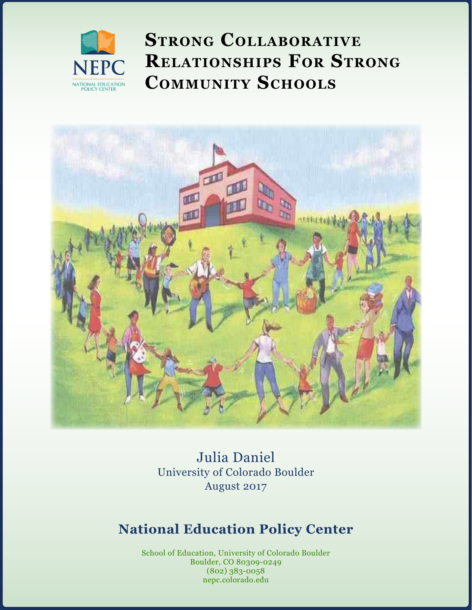

**Strong Collaborative Relationships For Strong Community Schools**



Julia Daniel University of Colorado Boulder August 2017

# **National Education Policy Center**

http://nepc.colorado.edu/publication/leadership  $(002)$   $303$ - $0050$ School of Education, University of Colorado Boulder Boulder, CO 80309-0249 (802) 383-0058 nepc.colorado.edu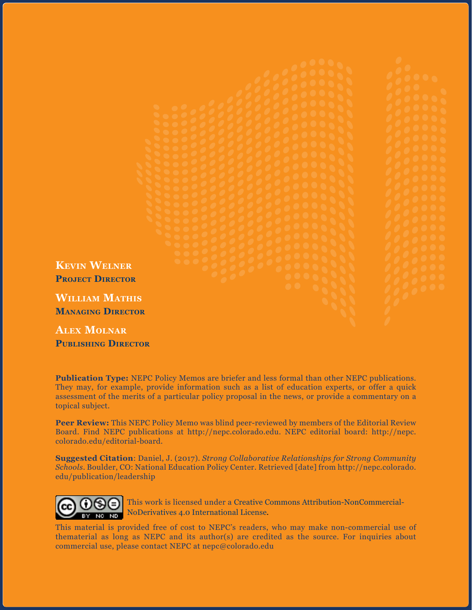

**Alex Molnar Publishing Director**

**Publication Type:** NEPC Policy Memos are briefer and less formal than other NEPC publications. They may, for example, provide information such as a list of education experts, or offer a quick assessment of the merits of a particular policy proposal in the news, or provide a commentary on a topical subject.

**Peer Review:** This NEPC Policy Memo was blind peer-reviewed by members of the Editorial Review Board. Find NEPC publications at http://nepc.colorado.edu. NEPC editorial board: http://nepc. colorado.edu/editorial-board.

**Suggested Citation**: Daniel, J. (2017). *Strong Collaborative Relationships for Strong Community Schools*. Boulder, CO: National Education Policy Center. Retrieved [date] from http://nepc.colorado. edu/publication/leadership



This work is licensed under a [Creative Commons Attribution-NonCommercial-](https://creativecommons.org/licenses/by-nc-nd/4.0/)[NoDerivatives 4.0 International License](https://creativecommons.org/licenses/by-nc-nd/4.0/).

This material is provided free of cost to NEPC's readers, who may make non-commercial use of thematerial as long as NEPC and its author(s) are credited as the source. For inquiries about commercial use, please contact NEPC at nepc@colorado.edu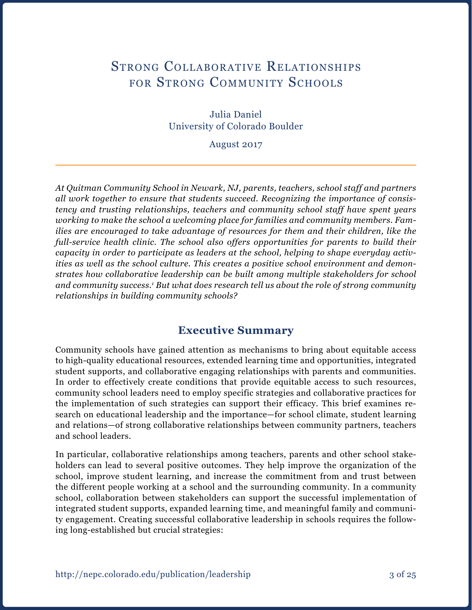# STRONG COLLABORATIVE RELATIONSHIPS FOR STRONG COMMUNITY SCHOOLS

Julia Daniel University of Colorado Boulder

August 2017

*At Quitman Community School in Newark, NJ, parents, teachers, school staff and partners all work together to ensure that students succeed. Recognizing the importance of consistency and trusting relationships, teachers and community school staff have spent years working to make the school a welcoming place for families and community members. Families are encouraged to take advantage of resources for them and their children, like the full-service health clinic. The school also offers opportunities for parents to build their capacity in order to participate as leaders at the school, helping to shape everyday activities as well as the school culture. This creates a positive school environment and demonstrates how collaborative leadership can be built among multiple stakeholders for school*  and community success.<sup>1</sup> But what does research tell us about the role of strong community *relationships in building community schools?*

### **Executive Summary**

Community schools have gained attention as mechanisms to bring about equitable access to high-quality educational resources, extended learning time and opportunities, integrated student supports, and collaborative engaging relationships with parents and communities. In order to effectively create conditions that provide equitable access to such resources, community school leaders need to employ specific strategies and collaborative practices for the implementation of such strategies can support their efficacy. This brief examines research on educational leadership and the importance—for school climate, student learning and relations—of strong collaborative relationships between community partners, teachers and school leaders.

In particular, collaborative relationships among teachers, parents and other school stakeholders can lead to several positive outcomes. They help improve the organization of the school, improve student learning, and increase the commitment from and trust between the different people working at a school and the surrounding community. In a community school, collaboration between stakeholders can support the successful implementation of integrated student supports, expanded learning time, and meaningful family and community engagement. Creating successful collaborative leadership in schools requires the following long-established but crucial strategies: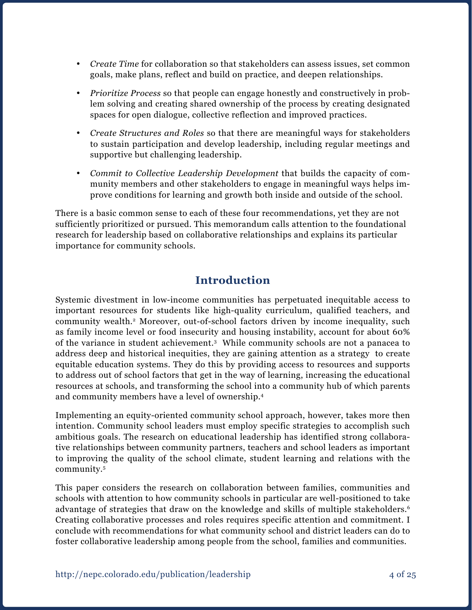- *Create Time* for collaboration so that stakeholders can assess issues, set common goals, make plans, reflect and build on practice, and deepen relationships.
- • *Prioritize Process* so that people can engage honestly and constructively in problem solving and creating shared ownership of the process by creating designated spaces for open dialogue, collective reflection and improved practices.
- • *Create Structures and Roles* so that there are meaningful ways for stakeholders to sustain participation and develop leadership, including regular meetings and supportive but challenging leadership.
- • *Commit to Collective Leadership Development* that builds the capacity of community members and other stakeholders to engage in meaningful ways helps improve conditions for learning and growth both inside and outside of the school.

There is a basic common sense to each of these four recommendations, yet they are not sufficiently prioritized or pursued. This memorandum calls attention to the foundational research for leadership based on collaborative relationships and explains its particular importance for community schools.

# **Introduction**

Systemic divestment in low-income communities has perpetuated inequitable access to important resources for students like high-quality curriculum, qualified teachers, and community wealth.2 Moreover, out-of-school factors driven by income inequality, such as family income level or food insecurity and housing instability, account for about 60% of the variance in student achievement.3 While community schools are not a panacea to address deep and historical inequities, they are gaining attention as a strategy to create equitable education systems. They do this by providing access to resources and supports to address out of school factors that get in the way of learning, increasing the educational resources at schools, and transforming the school into a community hub of which parents and community members have a level of ownership.4

Implementing an equity-oriented community school approach, however, takes more then intention. Community school leaders must employ specific strategies to accomplish such ambitious goals. The research on educational leadership has identified strong collaborative relationships between community partners, teachers and school leaders as important to improving the quality of the school climate, student learning and relations with the community.5

This paper considers the research on collaboration between families, communities and schools with attention to how community schools in particular are well-positioned to take advantage of strategies that draw on the knowledge and skills of multiple stakeholders.<sup>6</sup> Creating collaborative processes and roles requires specific attention and commitment. I conclude with recommendations for what community school and district leaders can do to foster collaborative leadership among people from the school, families and communities.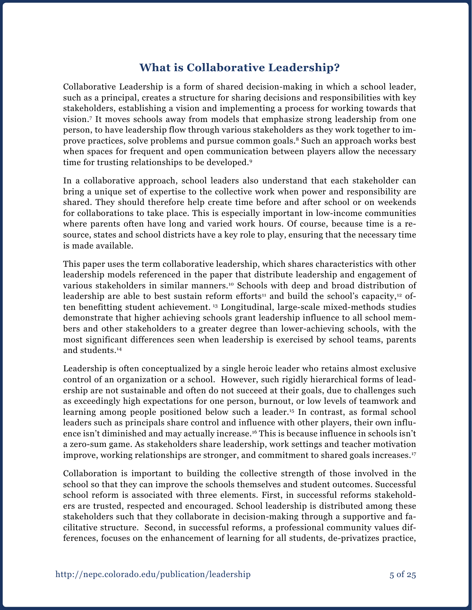# **What is Collaborative Leadership?**

Collaborative Leadership is a form of shared decision-making in which a school leader, such as a principal, creates a structure for sharing decisions and responsibilities with key stakeholders, establishing a vision and implementing a process for working towards that vision.7 It moves schools away from models that emphasize strong leadership from one person, to have leadership flow through various stakeholders as they work together to improve practices, solve problems and pursue common goals.8 Such an approach works best when spaces for frequent and open communication between players allow the necessary time for trusting relationships to be developed.9

In a collaborative approach, school leaders also understand that each stakeholder can bring a unique set of expertise to the collective work when power and responsibility are shared. They should therefore help create time before and after school or on weekends for collaborations to take place. This is especially important in low-income communities where parents often have long and varied work hours. Of course, because time is a resource, states and school districts have a key role to play, ensuring that the necessary time is made available.

This paper uses the term collaborative leadership, which shares characteristics with other leadership models referenced in the paper that distribute leadership and engagement of various stakeholders in similar manners.<sup>10</sup> Schools with deep and broad distribution of leadership are able to best sustain reform efforts<sup>11</sup> and build the school's capacity,<sup>12</sup> often benefitting student achievement. 13 Longitudinal, large-scale mixed-methods studies demonstrate that higher achieving schools grant leadership influence to all school members and other stakeholders to a greater degree than lower-achieving schools, with the most significant differences seen when leadership is exercised by school teams, parents and students.14

Leadership is often conceptualized by a single heroic leader who retains almost exclusive control of an organization or a school. However, such rigidly hierarchical forms of leadership are not sustainable and often do not succeed at their goals, due to challenges such as exceedingly high expectations for one person, burnout, or low levels of teamwork and learning among people positioned below such a leader.15 In contrast, as formal school leaders such as principals share control and influence with other players, their own influence isn't diminished and may actually increase.<sup>16</sup> This is because influence in schools isn't a zero-sum game. As stakeholders share leadership, work settings and teacher motivation improve, working relationships are stronger, and commitment to shared goals increases.17

Collaboration is important to building the collective strength of those involved in the school so that they can improve the schools themselves and student outcomes. Successful school reform is associated with three elements. First, in successful reforms stakeholders are trusted, respected and encouraged. School leadership is distributed among these stakeholders such that they collaborate in decision-making through a supportive and facilitative structure. Second, in successful reforms, a professional community values differences, focuses on the enhancement of learning for all students, de-privatizes practice,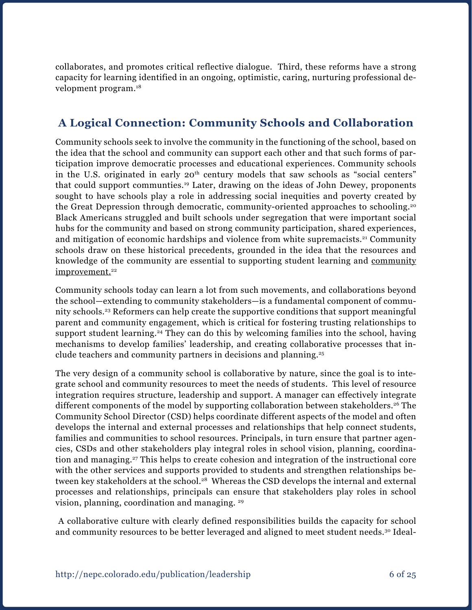collaborates, and promotes critical reflective dialogue. Third, these reforms have a strong capacity for learning identified in an ongoing, optimistic, caring, nurturing professional development program.18

# **A Logical Connection: Community Schools and Collaboration**

Community schools seek to involve the community in the functioning of the school, based on the idea that the school and community can support each other and that such forms of participation improve democratic processes and educational experiences. Community schools in the U.S. originated in early 20<sup>th</sup> century models that saw schools as "social centers" that could support communties.19 Later, drawing on the ideas of John Dewey, proponents sought to have schools play a role in addressing social inequities and poverty created by the Great Depression through democratic, community-oriented approaches to schooling.20 Black Americans struggled and built schools under segregation that were important social hubs for the community and based on strong community participation, shared experiences, and mitigation of economic hardships and violence from white supremacists.<sup>21</sup> Community schools draw on these historical precedents, grounded in the idea that the resources and knowledge of the community are essential to supporting student learning and community improvement.<sup>22</sup>

Community schools today can learn a lot from such movements, and collaborations beyond the school—extending to community stakeholders—is a fundamental component of community schools.23 Reformers can help create the supportive conditions that support meaningful parent and community engagement, which is critical for fostering trusting relationships to support student learning.<sup>24</sup> They can do this by welcoming families into the school, having mechanisms to develop families' leadership, and creating collaborative processes that include teachers and community partners in decisions and planning.25

The very design of a community school is collaborative by nature, since the goal is to integrate school and community resources to meet the needs of students. This level of resource integration requires structure, leadership and support. A manager can effectively integrate different components of the model by supporting collaboration between stakeholders.<sup>26</sup> The Community School Director (CSD) helps coordinate different aspects of the model and often develops the internal and external processes and relationships that help connect students, families and communities to school resources. Principals, in turn ensure that partner agencies, CSDs and other stakeholders play integral roles in school vision, planning, coordination and managing.27 This helps to create cohesion and integration of the instructional core with the other services and supports provided to students and strengthen relationships between key stakeholders at the school.<sup>28</sup> Whereas the CSD develops the internal and external processes and relationships, principals can ensure that stakeholders play roles in school vision, planning, coordination and managing. 29

 A collaborative culture with clearly defined responsibilities builds the capacity for school and community resources to be better leveraged and aligned to meet student needs.<sup>30</sup> Ideal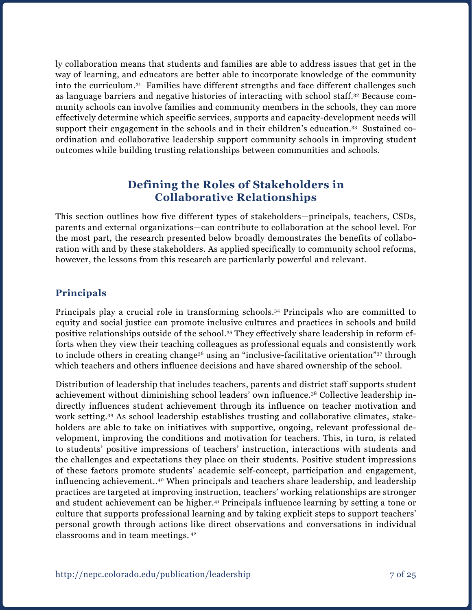ly collaboration means that students and families are able to address issues that get in the way of learning, and educators are better able to incorporate knowledge of the community into the curriculum.31 Families have different strengths and face different challenges such as language barriers and negative histories of interacting with school staff.32 Because community schools can involve families and community members in the schools, they can more effectively determine which specific services, supports and capacity-development needs will support their engagement in the schools and in their children's education.33 Sustained coordination and collaborative leadership support community schools in improving student outcomes while building trusting relationships between communities and schools.

## **Defining the Roles of Stakeholders in Collaborative Relationships**

This section outlines how five different types of stakeholders—principals, teachers, CSDs, parents and external organizations—can contribute to collaboration at the school level. For the most part, the research presented below broadly demonstrates the benefits of collaboration with and by these stakeholders. As applied specifically to community school reforms, however, the lessons from this research are particularly powerful and relevant.

### **Principals**

Principals play a crucial role in transforming schools.34 Principals who are committed to equity and social justice can promote inclusive cultures and practices in schools and build positive relationships outside of the school.35 They effectively share leadership in reform efforts when they view their teaching colleagues as professional equals and consistently work to include others in creating change36 using an "inclusive-facilitative orientation"37 through which teachers and others influence decisions and have shared ownership of the school.

Distribution of leadership that includes teachers, parents and district staff supports student achievement without diminishing school leaders' own influence.38 Collective leadership indirectly influences student achievement through its influence on teacher motivation and work setting.39 As school leadership establishes trusting and collaborative climates, stakeholders are able to take on initiatives with supportive, ongoing, relevant professional development, improving the conditions and motivation for teachers. This, in turn, is related to students' positive impressions of teachers' instruction, interactions with students and the challenges and expectations they place on their students. Positive student impressions of these factors promote students' academic self-concept, participation and engagement, influencing achievement..40 When principals and teachers share leadership, and leadership practices are targeted at improving instruction, teachers' working relationships are stronger and student achievement can be higher.<sup>41</sup> Principals influence learning by setting a tone or culture that supports professional learning and by taking explicit steps to support teachers' personal growth through actions like direct observations and conversations in individual classrooms and in team meetings. 42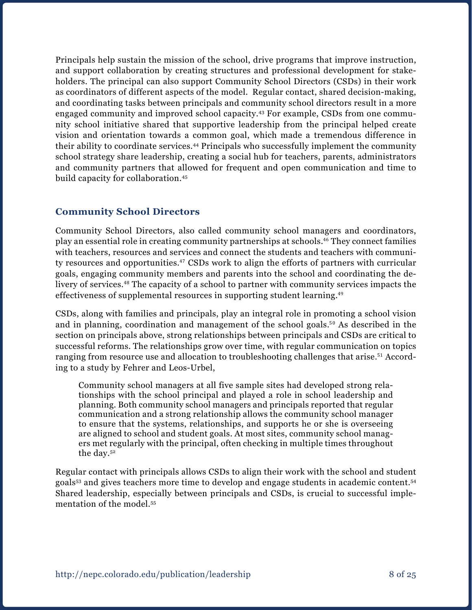Principals help sustain the mission of the school, drive programs that improve instruction, and support collaboration by creating structures and professional development for stakeholders. The principal can also support Community School Directors (CSDs) in their work as coordinators of different aspects of the model. Regular contact, shared decision-making, and coordinating tasks between principals and community school directors result in a more engaged community and improved school capacity.43 For example, CSDs from one community school initiative shared that supportive leadership from the principal helped create vision and orientation towards a common goal, which made a tremendous difference in their ability to coordinate services.44 Principals who successfully implement the community school strategy share leadership, creating a social hub for teachers, parents, administrators and community partners that allowed for frequent and open communication and time to build capacity for collaboration.45

### **Community School Directors**

Community School Directors, also called community school managers and coordinators, play an essential role in creating community partnerships at schools.46 They connect families with teachers, resources and services and connect the students and teachers with community resources and opportunities.<sup>47</sup> CSDs work to align the efforts of partners with curricular goals, engaging community members and parents into the school and coordinating the delivery of services.48 The capacity of a school to partner with community services impacts the effectiveness of supplemental resources in supporting student learning.<sup>49</sup>

CSDs, along with families and principals, play an integral role in promoting a school vision and in planning, coordination and management of the school goals.<sup>50</sup> As described in the section on principals above, strong relationships between principals and CSDs are critical to successful reforms. The relationships grow over time, with regular communication on topics ranging from resource use and allocation to troubleshooting challenges that arise.<sup>51</sup> According to a study by Fehrer and Leos-Urbel,

Community school managers at all five sample sites had developed strong relationships with the school principal and played a role in school leadership and planning. Both community school managers and principals reported that regular communication and a strong relationship allows the community school manager to ensure that the systems, relationships, and supports he or she is overseeing are aligned to school and student goals. At most sites, community school managers met regularly with the principal, often checking in multiple times throughout the day.52

Regular contact with principals allows CSDs to align their work with the school and student goals53 and gives teachers more time to develop and engage students in academic content.54 Shared leadership, especially between principals and CSDs, is crucial to successful implementation of the model.55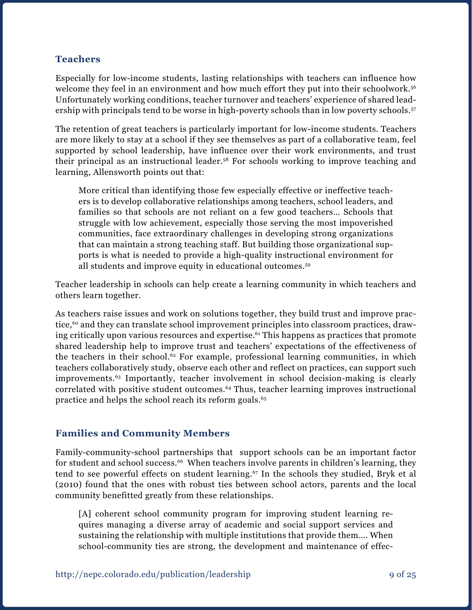#### **Teachers**

Especially for low-income students, lasting relationships with teachers can influence how welcome they feel in an environment and how much effort they put into their schoolwork.<sup>56</sup> Unfortunately working conditions, teacher turnover and teachers' experience of shared leadership with principals tend to be worse in high-poverty schools than in low poverty schools.<sup>57</sup>

The retention of great teachers is particularly important for low-income students. Teachers are more likely to stay at a school if they see themselves as part of a collaborative team, feel supported by school leadership, have influence over their work environments, and trust their principal as an instructional leader.58 For schools working to improve teaching and learning, Allensworth points out that:

More critical than identifying those few especially effective or ineffective teachers is to develop collaborative relationships among teachers, school leaders, and families so that schools are not reliant on a few good teachers… Schools that struggle with low achievement, especially those serving the most impoverished communities, face extraordinary challenges in developing strong organizations that can maintain a strong teaching staff. But building those organizational supports is what is needed to provide a high-quality instructional environment for all students and improve equity in educational outcomes.59

Teacher leadership in schools can help create a learning community in which teachers and others learn together.

As teachers raise issues and work on solutions together, they build trust and improve practice,<sup>60</sup> and they can translate school improvement principles into classroom practices, drawing critically upon various resources and expertise.<sup>61</sup> This happens as practices that promote shared leadership help to improve trust and teachers' expectations of the effectiveness of the teachers in their school.<sup>62</sup> For example, professional learning communities, in which teachers collaboratively study, observe each other and reflect on practices, can support such improvements.63 Importantly, teacher involvement in school decision-making is clearly correlated with positive student outcomes.64 Thus, teacher learning improves instructional practice and helps the school reach its reform goals.<sup>65</sup>

#### **Families and Community Members**

Family-community-school partnerships that support schools can be an important factor for student and school success.<sup>66</sup> When teachers involve parents in children's learning, they tend to see powerful effects on student learning.<sup>67</sup> In the schools they studied, Bryk et al (2010) found that the ones with robust ties between school actors, parents and the local community benefitted greatly from these relationships.

[A] coherent school community program for improving student learning requires managing a diverse array of academic and social support services and sustaining the relationship with multiple institutions that provide them…. When school-community ties are strong, the development and maintenance of effec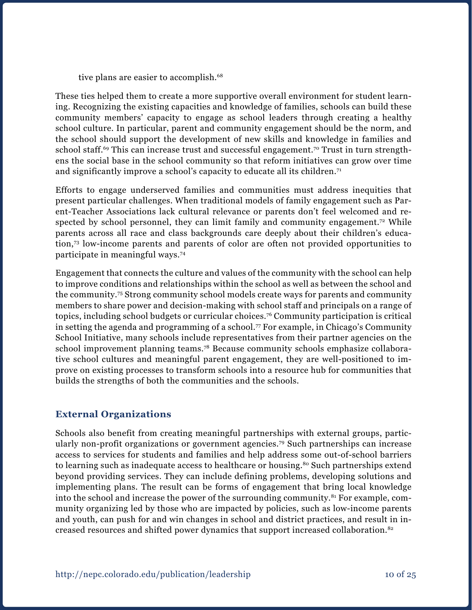tive plans are easier to accomplish.<sup>68</sup>

These ties helped them to create a more supportive overall environment for student learning. Recognizing the existing capacities and knowledge of families, schools can build these community members' capacity to engage as school leaders through creating a healthy school culture. In particular, parent and community engagement should be the norm, and the school should support the development of new skills and knowledge in families and school staff.<sup>69</sup> This can increase trust and successful engagement.<sup>70</sup> Trust in turn strengthens the social base in the school community so that reform initiatives can grow over time and significantly improve a school's capacity to educate all its children.71

Efforts to engage underserved families and communities must address inequities that present particular challenges. When traditional models of family engagement such as Parent-Teacher Associations lack cultural relevance or parents don't feel welcomed and respected by school personnel, they can limit family and community engagement.<sup>72</sup> While parents across all race and class backgrounds care deeply about their children's education,73 low-income parents and parents of color are often not provided opportunities to participate in meaningful ways.74

Engagement that connects the culture and values of the community with the school can help to improve conditions and relationships within the school as well as between the school and the community.75 Strong community school models create ways for parents and community members to share power and decision-making with school staff and principals on a range of topics, including school budgets or curricular choices.76 Community participation is critical in setting the agenda and programming of a school.<sup>77</sup> For example, in Chicago's Community School Initiative, many schools include representatives from their partner agencies on the school improvement planning teams.78 Because community schools emphasize collaborative school cultures and meaningful parent engagement, they are well-positioned to improve on existing processes to transform schools into a resource hub for communities that builds the strengths of both the communities and the schools.

#### **External Organizations**

Schools also benefit from creating meaningful partnerships with external groups, particularly non-profit organizations or government agencies.79 Such partnerships can increase access to services for students and families and help address some out-of-school barriers to learning such as inadequate access to healthcare or housing.<sup>80</sup> Such partnerships extend beyond providing services. They can include defining problems, developing solutions and implementing plans. The result can be forms of engagement that bring local knowledge into the school and increase the power of the surrounding community.<sup>81</sup> For example, community organizing led by those who are impacted by policies, such as low-income parents and youth, can push for and win changes in school and district practices, and result in increased resources and shifted power dynamics that support increased collaboration.82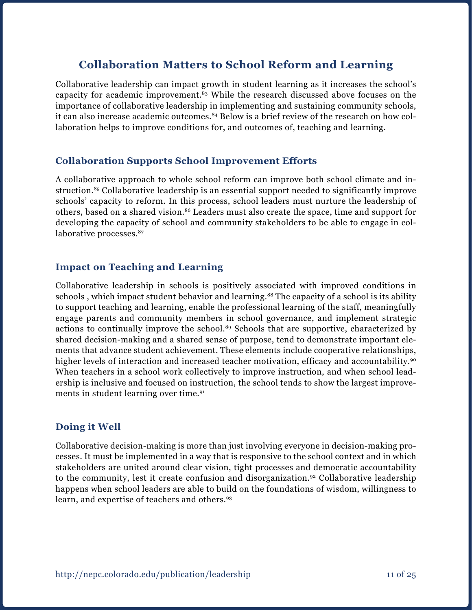# **Collaboration Matters to School Reform and Learning**

Collaborative leadership can impact growth in student learning as it increases the school's capacity for academic improvement.83 While the research discussed above focuses on the importance of collaborative leadership in implementing and sustaining community schools, it can also increase academic outcomes.<sup>84</sup> Below is a brief review of the research on how collaboration helps to improve conditions for, and outcomes of, teaching and learning.

#### **Collaboration Supports School Improvement Efforts**

A collaborative approach to whole school reform can improve both school climate and instruction.<sup>85</sup> Collaborative leadership is an essential support needed to significantly improve schools' capacity to reform. In this process, school leaders must nurture the leadership of others, based on a shared vision.<sup>86</sup> Leaders must also create the space, time and support for developing the capacity of school and community stakeholders to be able to engage in collaborative processes.<sup>87</sup>

#### **Impact on Teaching and Learning**

Collaborative leadership in schools is positively associated with improved conditions in schools, which impact student behavior and learning.<sup>88</sup> The capacity of a school is its ability to support teaching and learning, enable the professional learning of the staff, meaningfully engage parents and community members in school governance, and implement strategic actions to continually improve the school.<sup>89</sup> Schools that are supportive, characterized by shared decision-making and a shared sense of purpose, tend to demonstrate important elements that advance student achievement. These elements include cooperative relationships, higher levels of interaction and increased teacher motivation, efficacy and accountability.<sup>90</sup> When teachers in a school work collectively to improve instruction, and when school leadership is inclusive and focused on instruction, the school tends to show the largest improvements in student learning over time.<sup>91</sup>

#### **Doing it Well**

Collaborative decision-making is more than just involving everyone in decision-making processes. It must be implemented in a way that is responsive to the school context and in which stakeholders are united around clear vision, tight processes and democratic accountability to the community, lest it create confusion and disorganization.<sup>92</sup> Collaborative leadership happens when school leaders are able to build on the foundations of wisdom, willingness to learn, and expertise of teachers and others.93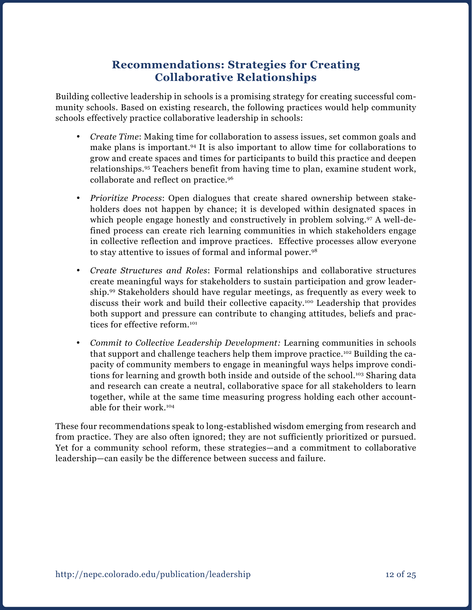# **Recommendations: Strategies for Creating Collaborative Relationships**

Building collective leadership in schools is a promising strategy for creating successful community schools. Based on existing research, the following practices would help community schools effectively practice collaborative leadership in schools:

- • *Create Time*: Making time for collaboration to assess issues, set common goals and make plans is important.94 It is also important to allow time for collaborations to grow and create spaces and times for participants to build this practice and deepen relationships.95 Teachers benefit from having time to plan, examine student work, collaborate and reflect on practice.96
- • *Prioritize Process*: Open dialogues that create shared ownership between stakeholders does not happen by chance; it is developed within designated spaces in which people engage honestly and constructively in problem solving.<sup>97</sup> A well-defined process can create rich learning communities in which stakeholders engage in collective reflection and improve practices. Effective processes allow everyone to stay attentive to issues of formal and informal power.98
- • *Create Structures and Roles*: Formal relationships and collaborative structures create meaningful ways for stakeholders to sustain participation and grow leadership.99 Stakeholders should have regular meetings, as frequently as every week to discuss their work and build their collective capacity.100 Leadership that provides both support and pressure can contribute to changing attitudes, beliefs and practices for effective reform.<sup>101</sup>
- • *Commit to Collective Leadership Development:* Learning communities in schools that support and challenge teachers help them improve practice.102 Building the capacity of community members to engage in meaningful ways helps improve conditions for learning and growth both inside and outside of the school.<sup>103</sup> Sharing data and research can create a neutral, collaborative space for all stakeholders to learn together, while at the same time measuring progress holding each other accountable for their work.104

These four recommendations speak to long-established wisdom emerging from research and from practice. They are also often ignored; they are not sufficiently prioritized or pursued. Yet for a community school reform, these strategies—and a commitment to collaborative leadership—can easily be the difference between success and failure.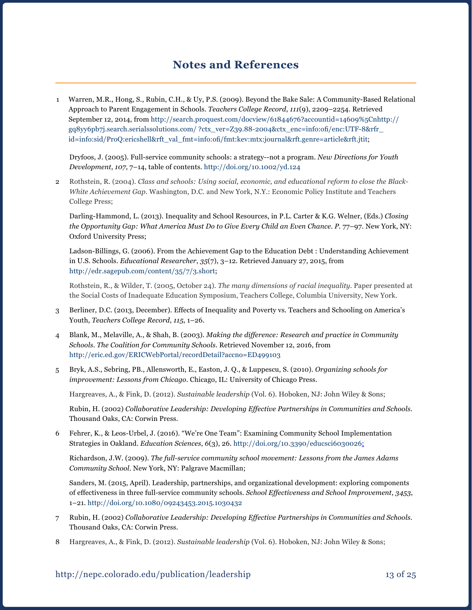## **Notes and References**

1 Warren, M.R., Hong, S., Rubin, C.H., & Uy, P.S. (2009). Beyond the Bake Sale: A Community-Based Relational Approach to Parent Engagement in Schools. *Teachers College Record*, *111*(9), 2209–2254. Retrieved September 12, 2014, from [http://search.proquest.com/docview/61844676?accountid=14609%5Cnhttp://](http://search.proquest.com/docview/61844676?accountid=14609%5Cnhttp://gq8yy6pb7j.search.serialssolutions.com/ ?ctx_ver=Z39.88-2004&ctx_enc=info:ofi/enc:UTF-8&rfr_id=info:sid/ProQ:ericshell&rft_val_fmt=info:ofi/fmt:kev:mtx:journal&rft.genre=article&rft.jti) [gq8yy6pb7j.search.serialssolutions.com/ ?ctx\\_ver=Z39.88-2004&ctx\\_enc=info:ofi/enc:UTF-8&rfr\\_](http://search.proquest.com/docview/61844676?accountid=14609%5Cnhttp://gq8yy6pb7j.search.serialssolutions.com/ ?ctx_ver=Z39.88-2004&ctx_enc=info:ofi/enc:UTF-8&rfr_id=info:sid/ProQ:ericshell&rft_val_fmt=info:ofi/fmt:kev:mtx:journal&rft.genre=article&rft.jti) [id=info:sid/ProQ:ericshell&rft\\_val\\_fmt=info:ofi/fmt:kev:mtx:journal&rft.genre=article&rft.jtit](http://search.proquest.com/docview/61844676?accountid=14609%5Cnhttp://gq8yy6pb7j.search.serialssolutions.com/ ?ctx_ver=Z39.88-2004&ctx_enc=info:ofi/enc:UTF-8&rfr_id=info:sid/ProQ:ericshell&rft_val_fmt=info:ofi/fmt:kev:mtx:journal&rft.genre=article&rft.jti);

Dryfoos, J. (2005). Full-service community schools: a strategy--not a program. *New Directions for Youth Development*, *107*, 7–14, table of contents. [http://doi.org/10.1002/yd.124](http://doi.org/10.1002/yd.124 ) 

2 Rothstein, R. (2004). *Class and schools: Using social, economic, and educational reform to close the Black-White Achievement Gap.* Washington, D.C. and New York, N.Y.: Economic Policy Institute and Teachers College Press;

Darling-Hammond, L. (2013). Inequality and School Resources, in P.L. Carter & K.G. Welner, (Eds.) *Closing*  the Opportunity Gap: What America Must Do to Give Every Child an Even Chance. P. 77-97. New York, NY: Oxford University Press;

Ladson-Billings, G. (2006). From the Achievement Gap to the Education Debt : Understanding Achievement in U.S. Schools. *Educational Researcher*, *35*(7), 3–12. Retrieved January 27, 2015, from <http://edr.sagepub.com/content/35/7/3.short>;

Rothstein, R., & Wilder, T. (2005, October 24). *The many dimensions of racial inequality.* Paper presented at the Social Costs of Inadequate Education Symposium, Teachers College, Columbia University, New York.

- 3 Berliner, D.C. (2013, December). Effects of Inequality and Poverty vs. Teachers and Schooling on America's Youth, *Teachers College Record*, *115*, 1–26.
- 4 Blank, M., Melaville, A., & Shah, B. (2003). *Making the difference: Research and practice in Community Schools*. *The Coalition for Community Schools*. Retrieved November 12, 2016, from <http://eric.ed.gov/ERICWebPortal/recordDetail?accno=ED499103>
- 5 Bryk, A.S., Sebring, PB., Allensworth, E., Easton, J. Q., & Luppescu, S. (2010). *Organizing schools for improvement: Lessons from Chicago*. Chicago, IL: University of Chicago Press.

Hargreaves, A., & Fink, D. (2012). *Sustainable leadership* (Vol. 6). Hoboken, NJ: John Wiley & Sons;

Rubin, H. (2002) *Collaborative Leadership: Developing Effective Partnerships in Communities and Schools.*  Thousand Oaks, CA: Corwin Press.

6 Fehrer, K., & Leos-Urbel, J. (2016). "We're One Team": Examining Community School Implementation Strategies in Oakland. *Education Sciences*, *6*(3), 26. [http://doi.org/10.3390/educsci6030026;](http://doi.org/10.3390/educsci6030026)

Richardson, J.W. (2009). *The full-service community school movement: Lessons from the James Adams Community School*. New York, NY: Palgrave Macmillan;

Sanders, M. (2015, April). Leadership, partnerships, and organizational development: exploring components of effectiveness in three full-service community schools. *School Effectiveness and School Improvement*, *3453*, 1–21. <http://doi.org/10.1080/09243453.2015.1030432>

- 7 Rubin, H. (2002) *Collaborative Leadership: Developing Effective Partnerships in Communities and Schools.*  Thousand Oaks, CA: Corwin Press.
- 8 Hargreaves, A., & Fink, D. (2012). *Sustainable leadership* (Vol. 6). Hoboken, NJ: John Wiley & Sons;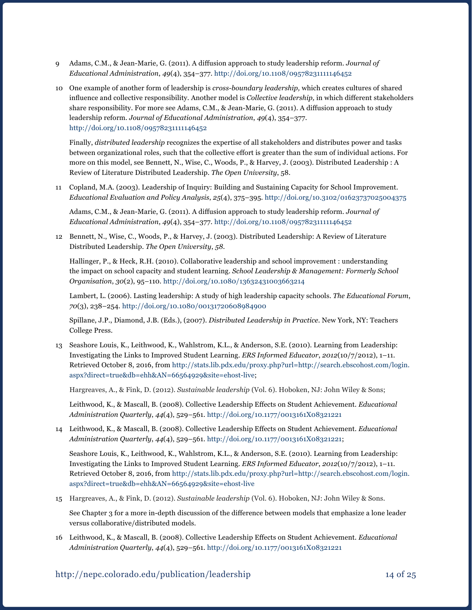- 9 Adams, C.M., & Jean-Marie, G. (2011). A diffusion approach to study leadership reform. *Journal of Educational Administration*, *49*(4), 354–377. [http://doi.org/10.1108/09578231111146452](http://doi.org/10.1108/09578231111146452 )
- 10 One example of another form of leadership is *cross-boundary leadership,* which creates cultures of shared influence and collective responsibility. Another model is *Collective leadership,* in which different stakeholders share responsibility. For more see Adams, C.M., & Jean-Marie, G. (2011). A diffusion approach to study leadership reform. *Journal of Educational Administration*, *49*(4), 354–377. <http://doi.org/10.1108/09578231111146452>

Finally, *distributed leadership* recognizes the expertise of all stakeholders and distributes power and tasks between organizational roles, such that the collective effort is greater than the sum of individual actions. For more on this model, see Bennett, N., Wise, C., Woods, P., & Harvey, J. (2003). Distributed Leadership : A Review of Literature Distributed Leadership. *The Open University*, 58.

11 Copland, M.A. (2003). Leadership of Inquiry: Building and Sustaining Capacity for School Improvement. *Educational Evaluation and Policy Analysis*, *25*(4), 375–395. <http://doi.org/10.3102/01623737025004375>

 Adams, C.M., & Jean-Marie, G. (2011). A diffusion approach to study leadership reform. *Journal of Educational Administration*, *49*(4), 354–377.<http://doi.org/10.1108/09578231111146452>

12 Bennett, N., Wise, C., Woods, P., & Harvey, J. (2003). Distributed Leadership: A Review of Literature Distributed Leadership. *The Open University*, *58*.

Hallinger, P., & Heck, R.H. (2010). Collaborative leadership and school improvement : understanding the impact on school capacity and student learning. *School Leadership & Management: Formerly School Organisation*, *30*(2), 95–110. <http://doi.org/10.1080/13632431003663214>

Lambert, L. (2006). Lasting leadership: A study of high leadership capacity schools. *The Educational Forum*, *70*(3), 238–254.<http://doi.org/10.1080/00131720608984900>

Spillane, J.P., Diamond, J.B. (Eds.), (2007). *Distributed Leadership in Practice.* New York, NY: Teachers College Press.

13 Seashore Louis, K., Leithwood, K., Wahlstrom, K.L., & Anderson, S.E. (2010). Learning from Leadership: Investigating the Links to Improved Student Learning. *ERS Informed Educator*, *2012*(10/7/2012), 1–11. Retrieved October 8, 2016, from [http://stats.lib.pdx.edu/proxy.php?url=http://search.ebscohost.com/login.](http://stats.lib.pdx.edu/proxy.php?url=http://search.ebscohost.com/login.aspx?direct=true&db=ehh&AN=66564929&site=ehost-live) [aspx?direct=true&db=ehh&AN=66564929&site=ehost-live](http://stats.lib.pdx.edu/proxy.php?url=http://search.ebscohost.com/login.aspx?direct=true&db=ehh&AN=66564929&site=ehost-live);

Hargreaves, A., & Fink, D. (2012). *Sustainable leadership* (Vol. 6). Hoboken, NJ: John Wiley & Sons;

Leithwood, K., & Mascall, B. (2008). Collective Leadership Effects on Student Achievement. *Educational Administration Quarterly*, *44*(4), 529–561. <http://doi.org/10.1177/0013161X08321221>

14 Leithwood, K., & Mascall, B. (2008). Collective Leadership Effects on Student Achievement. *Educational Administration Quarterly*, *44*(4), 529–561. <http://doi.org/10.1177/0013161X08321221>;

Seashore Louis, K., Leithwood, K., Wahlstrom, K.L., & Anderson, S.E. (2010). Learning from Leadership: Investigating the Links to Improved Student Learning. *ERS Informed Educator*, *2012*(10/7/2012), 1–11. Retrieved October 8, 2016, from [http://stats.lib.pdx.edu/proxy.php?url=http://search.ebscohost.com/login.](http://stats.lib.pdx.edu/proxy.php?url=http://search.ebscohost.com/login.aspx?direct=true&db=ehh&AN=66564929&site=ehost-live) [aspx?direct=true&db=ehh&AN=66564929&site=ehost-live](http://stats.lib.pdx.edu/proxy.php?url=http://search.ebscohost.com/login.aspx?direct=true&db=ehh&AN=66564929&site=ehost-live)

15 Hargreaves, A., & Fink, D. (2012). *Sustainable leadership* (Vol. 6). Hoboken, NJ: John Wiley & Sons.

 See Chapter 3 for a more in-depth discussion of the difference between models that emphasize a lone leader versus collaborative/distributed models.

16 Leithwood, K., & Mascall, B. (2008). Collective Leadership Effects on Student Achievement. *Educational Administration Quarterly*, *44*(4), 529–561. <http://doi.org/10.1177/0013161X08321221>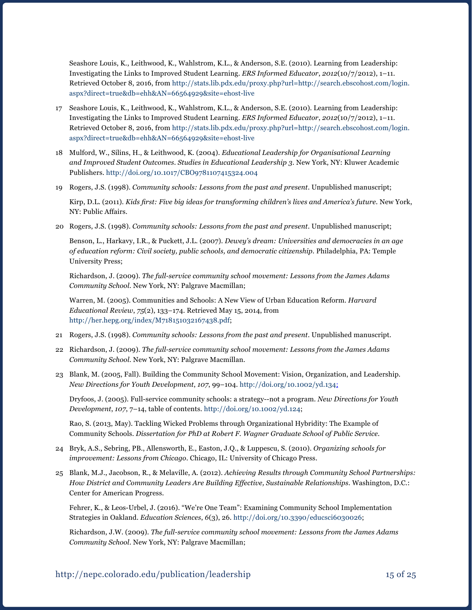Seashore Louis, K., Leithwood, K., Wahlstrom, K.L., & Anderson, S.E. (2010). Learning from Leadership: Investigating the Links to Improved Student Learning. *ERS Informed Educator*, *2012*(10/7/2012), 1–11. Retrieved October 8, 2016, from [http://stats.lib.pdx.edu/proxy.php?url=http://search.ebscohost.com/login.](http://stats.lib.pdx.edu/proxy.php?url=http://search.ebscohost.com/login.aspx?direct=true&db=ehh&AN=66564929&site=ehost-live) [aspx?direct=true&db=ehh&AN=66564929&site=ehost-live](http://stats.lib.pdx.edu/proxy.php?url=http://search.ebscohost.com/login.aspx?direct=true&db=ehh&AN=66564929&site=ehost-live)

- 17 Seashore Louis, K., Leithwood, K., Wahlstrom, K.L., & Anderson, S.E. (2010). Learning from Leadership: Investigating the Links to Improved Student Learning. *ERS Informed Educator*, *2012*(10/7/2012), 1–11. Retrieved October 8, 2016, from [http://stats.lib.pdx.edu/proxy.php?url=http://search.ebscohost.com/login.](http://stats.lib.pdx.edu/proxy.php?url=http://search.ebscohost.com/login.aspx?direct=true&db=ehh&AN=66564929&site=ehost-live) [aspx?direct=true&db=ehh&AN=66564929&site=ehost-live](http://stats.lib.pdx.edu/proxy.php?url=http://search.ebscohost.com/login.aspx?direct=true&db=ehh&AN=66564929&site=ehost-live)
- 18 Mulford, W., Silins, H., & Leithwood, K. (2004). *Educational Leadership for Organisational Learning and Improved Student Outcomes*. *Studies in Educational Leadership 3.* New York, NY: Kluwer Academic Publishers. <http://doi.org/10.1017/CBO9781107415324.004>
- 19 Rogers, J.S. (1998). *Community schools: Lessons from the past and present*. Unpublished manuscript;

Kirp, D.L. (2011). *Kids first: Five big ideas for transforming children's lives and America's future.* New York, NY: Public Affairs.

20 Rogers, J.S. (1998). *Community schools: Lessons from the past and present*. Unpublished manuscript;

Benson, L., Harkavy, I.R., & Puckett, J.L. (2007). *Dewey's dream: Universities and democracies in an age of education reform: Civil society, public schools, and democratic citizenship*. Philadelphia, PA: Temple University Press;

Richardson, J. (2009). *The full-service community school movement: Lessons from the James Adams Community School.* New York, NY: Palgrave Macmillan;

Warren, M. (2005). Communities and Schools: A New View of Urban Education Reform. *Harvard Educational Review*, *75*(2), 133–174. Retrieved May 15, 2014, from <http://her.hepg.org/index/M718151032167438.pdf>;

- 21 Rogers, J.S. (1998). *Community schools: Lessons from the past and present*. Unpublished manuscript.
- 22 Richardson, J. (2009). *The full-service community school movement: Lessons from the James Adams Community School.* New York, NY: Palgrave Macmillan.
- 23 Blank, M. (2005, Fall). Building the Community School Movement: Vision, Organization, and Leadership. *New Directions for Youth Development*, *107*, 99–104. <http://doi.org/10.1002/yd.134>;

Dryfoos, J. (2005). Full-service community schools: a strategy--not a program. *New Directions for Youth Development*, *107*, 7–14, table of contents. [http://doi.org/10.1002/yd.124;](http://doi.org/10.1002/yd.124)

Rao, S. (2013, May). Tackling Wicked Problems through Organizational Hybridity: The Example of Community Schools. *Dissertation for PhD at Robert F. Wagner Graduate School of Public Service.*

- 24 Bryk, A.S., Sebring, PB., Allensworth, E., Easton, J.Q., & Luppescu, S. (2010). *Organizing schools for improvement: Lessons from Chicago*. Chicago, IL: University of Chicago Press.
- 25 Blank, M.J., Jacobson, R., & Melaville, A. (2012). *Achieving Results through Community School Partnerships: How District and Community Leaders Are Building Effective, Sustainable Relationships*. Washington, D.C.: Center for American Progress.

Fehrer, K., & Leos-Urbel, J. (2016). "We're One Team": Examining Community School Implementation Strategies in Oakland. *Education Sciences*, *6*(3), 26. [http://doi.org/10.3390/educsci6030026;](http://doi.org/10.3390/educsci6030026)

Richardson, J.W. (2009). *The full-service community school movement: Lessons from the James Adams Community School*. New York, NY: Palgrave Macmillan;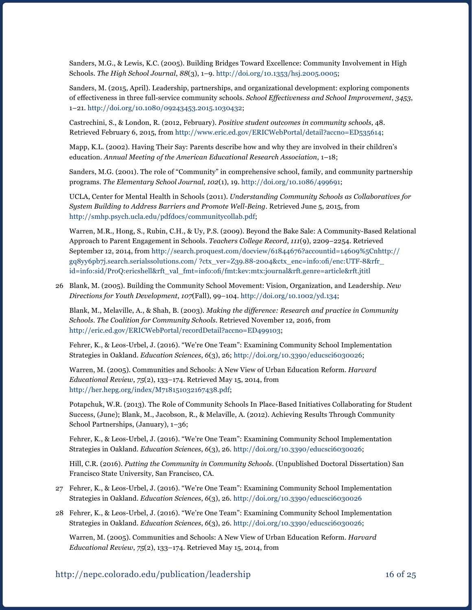Sanders, M.G., & Lewis, K.C. (2005). Building Bridges Toward Excellence: Community Involvement in High Schools. *The High School Journal*, *88*(3), 1–9. [http://doi.org/10.1353/hsj.2005.0005;](http://doi.org/10.1353/hsj.2005.0005)

Sanders, M. (2015, April). Leadership, partnerships, and organizational development: exploring components of effectiveness in three full-service community schools. *School Effectiveness and School Improvement*, *3453*, 1–21. <http://doi.org/10.1080/09243453.2015.1030432>;

Castrechini, S., & London, R. (2012, February). *Positive student outcomes in community schools*, 48. Retrieved February 6, 2015, from<http://www.eric.ed.gov/ERICWebPortal/detail?accno=ED535614>;

Mapp, K.L. (2002). Having Their Say: Parents describe how and why they are involved in their children's education. *Annual Meeting of the American Educational Research Association*, 1–18;

Sanders, M.G. (2001). The role of "Community" in comprehensive school, family, and community partnership programs. *The Elementary School Journal*, *102*(1), 19. [http://doi.org/10.1086/499691;](http://doi.org/10.1086/499691)

UCLA, Center for Mental Health in Schools (2011). *Understanding Community Schools as Collaboratives for System Building to Address Barriers and Promote Well-Being*. Retrieved June 5, 2015, from [http://smhp.psych.ucla.edu/pdfdocs/communitycollab.pdf;](http://smhp.psych.ucla.edu/pdfdocs/communitycollab.pdf)

Warren, M.R., Hong, S., Rubin, C.H., & Uy, P.S. (2009). Beyond the Bake Sale: A Community-Based Relational Approach to Parent Engagement in Schools. *Teachers College Record*, *111*(9), 2209–2254. Retrieved September 12, 2014, from [http://search.proquest.com/docview/61844676?accountid=14609%5Cnhttp://](http://search.proquest.com/docview/61844676?accountid=14609%5Cnhttp://gq8yy6pb7j.search.serialssolutions.com/ ?ctx_ver=Z39.88-2004&ctx_enc=info:ofi/enc:UTF-8&rfr_id=info:sid/ProQ:ericshell&rft_val_fmt=info:ofi/fmt:kev:mtx:journal&rft.genre=article&rft.jti) [gq8yy6pb7j.search.serialssolutions.com/ ?ctx\\_ver=Z39.88-2004&ctx\\_enc=info:ofi/enc:UTF-8&rfr\\_](http://search.proquest.com/docview/61844676?accountid=14609%5Cnhttp://gq8yy6pb7j.search.serialssolutions.com/ ?ctx_ver=Z39.88-2004&ctx_enc=info:ofi/enc:UTF-8&rfr_id=info:sid/ProQ:ericshell&rft_val_fmt=info:ofi/fmt:kev:mtx:journal&rft.genre=article&rft.jti) [id=info:sid/ProQ:ericshell&rft\\_val\\_fmt=info:ofi/fmt:kev:mtx:journal&rft.genre=article&rft.jtitl](http://search.proquest.com/docview/61844676?accountid=14609%5Cnhttp://gq8yy6pb7j.search.serialssolutions.com/ ?ctx_ver=Z39.88-2004&ctx_enc=info:ofi/enc:UTF-8&rfr_id=info:sid/ProQ:ericshell&rft_val_fmt=info:ofi/fmt:kev:mtx:journal&rft.genre=article&rft.jti)

26 Blank, M. (2005). Building the Community School Movement: Vision, Organization, and Leadership. *New Directions for Youth Development*, *107*(Fall), 99–104.<http://doi.org/10.1002/yd.134>;

Blank, M., Melaville, A., & Shah, B. (2003). *Making the difference: Research and practice in Community Schools*. *The Coalition for Community Schools*. Retrieved November 12, 2016, from <http://eric.ed.gov/ERICWebPortal/recordDetail?accno=ED499103>;

Fehrer, K., & Leos-Urbel, J. (2016). "We're One Team": Examining Community School Implementation Strategies in Oakland. *Education Sciences*, *6*(3), 26;<http://doi.org/10.3390/educsci6030026>;

Warren, M. (2005). Communities and Schools: A New View of Urban Education Reform. *Harvard Educational Review*, *75*(2), 133–174. Retrieved May 15, 2014, from <http://her.hepg.org/index/M718151032167438.pdf>;

Potapchuk, W.R. (2013). The Role of Community Schools In Place-Based Initiatives Collaborating for Student Success, (June); Blank, M., Jacobson, R., & Melaville, A. (2012). Achieving Results Through Community School Partnerships, (January), 1–36;

Fehrer, K., & Leos-Urbel, J. (2016). "We're One Team": Examining Community School Implementation Strategies in Oakland. *Education Sciences*, *6*(3), 26. [http://doi.org/10.3390/educsci6030026;](http://doi.org/10.3390/educsci6030026)

Hill, C.R. (2016). *Putting the Community in Community Schools*. (Unpublished Doctoral Dissertation) San Francisco State University, San Francisco, CA.

- 27 Fehrer, K., & Leos-Urbel, J. (2016). "We're One Team": Examining Community School Implementation Strategies in Oakland. *Education Sciences*, *6*(3), 26. <http://doi.org/10.3390/educsci6030026>
- 28 Fehrer, K., & Leos-Urbel, J. (2016). "We're One Team": Examining Community School Implementation Strategies in Oakland. *Education Sciences*, *6*(3), 26. [http://doi.org/10.3390/educsci6030026;](http://doi.org/10.3390/educsci6030026)

Warren, M. (2005). Communities and Schools: A New View of Urban Education Reform. *Harvard Educational Review*, *75*(2), 133–174. Retrieved May 15, 2014, from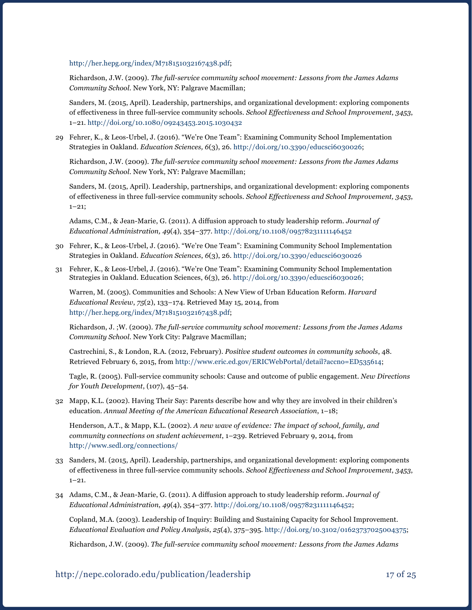<http://her.hepg.org/index/M718151032167438.pdf>;

Richardson, J.W. (2009). *The full-service community school movement: Lessons from the James Adams Community School*. New York, NY: Palgrave Macmillan;

Sanders, M. (2015, April). Leadership, partnerships, and organizational development: exploring components of effectiveness in three full-service community schools. *School Effectiveness and School Improvement*, *3453*, 1–21. <http://doi.org/10.1080/09243453.2015.1030432>

29 Fehrer, K., & Leos-Urbel, J. (2016). "We're One Team": Examining Community School Implementation Strategies in Oakland. *Education Sciences, 6*(3), 26. [http://doi.org/10.3390/educsci6030026;](http://doi.org/10.3390/educsci6030026)

Richardson, J.W. (2009). *The full-service community school movement: Lessons from the James Adams Community School*. New York, NY: Palgrave Macmillan;

Sanders, M. (2015, April). Leadership, partnerships, and organizational development: exploring components of effectiveness in three full-service community schools. *School Effectiveness and School Improvement, 3453*, 1–21;

Adams, C.M., & Jean-Marie, G. (2011). A diffusion approach to study leadership reform. *Journal of Educational Administration, 49*(4), 354–377. <http://doi.org/10.1108/09578231111146452>

- 30 Fehrer, K., & Leos-Urbel, J. (2016). "We're One Team": Examining Community School Implementation Strategies in Oakland. *Education Sciences*, *6*(3), 26. <http://doi.org/10.3390/educsci6030026>
- 31 Fehrer, K., & Leos-Urbel, J. (2016). "We're One Team": Examining Community School Implementation Strategies in Oakland. Education Sciences, 6(3), 26. <http://doi.org/10.3390/educsci6030026>;

Warren, M. (2005). Communities and Schools: A New View of Urban Education Reform. *Harvard Educational Review*, *75*(2), 133–174. Retrieved May 15, 2014, from <http://her.hepg.org/index/M718151032167438.pdf>;

Richardson, J. ;W. (2009). *The full-service community school movement: Lessons from the James Adams Community School*. New York City: Palgrave Macmillan;

Castrechini, S., & London, R.A. (2012, February). *Positive student outcomes in community schools*, 48. Retrieved February 6, 2015, from<http://www.eric.ed.gov/ERICWebPortal/detail?accno=ED535614>;

Tagle, R. (2005). Full-service community schools: Cause and outcome of public engagement. *New Directions for Youth Development*, (107), 45–54.

32 Mapp, K.L. (2002). Having Their Say: Parents describe how and why they are involved in their children's education. *Annual Meeting of the American Educational Research Association*, 1–18;

Henderson, A.T., & Mapp, K.L. (2002). *A new wave of evidence: The impact of school, family, and community connections on student achievement*, 1–239. Retrieved February 9, 2014, from <http://www.sedl.org/connections/>

- 33 Sanders, M. (2015, April). Leadership, partnerships, and organizational development: exploring components of effectiveness in three full-service community schools. *School Effectiveness and School Improvement*, *3453*, 1–21.
- 34 Adams, C.M., & Jean-Marie, G. (2011). A diffusion approach to study leadership reform. *Journal of Educational Administration*, *49*(4), 354–377. [http://doi.org/10.1108/09578231111146452;](http://doi.org/10.1108/09578231111146452)

Copland, M.A. (2003). Leadership of Inquiry: Building and Sustaining Capacity for School Improvement. *Educational Evaluation and Policy Analysis*, *25*(4), 375–395. <http://doi.org/10.3102/01623737025004375>;

Richardson, J.W. (2009). *The full-service community school movement: Lessons from the James Adams*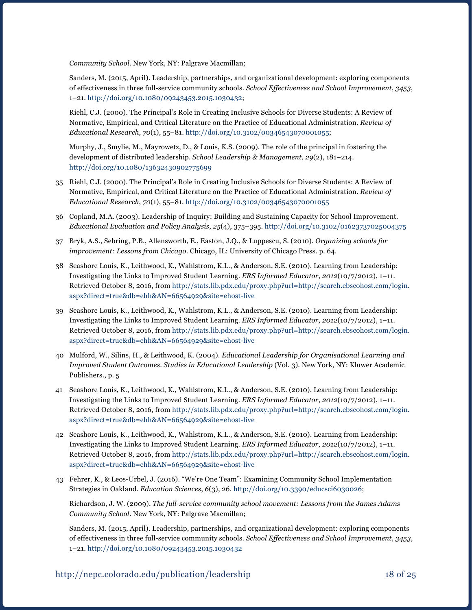*Community School*. New York, NY: Palgrave Macmillan;

Sanders, M. (2015, April). Leadership, partnerships, and organizational development: exploring components of effectiveness in three full-service community schools. *School Effectiveness and School Improvement*, *3453*, 1–21. <http://doi.org/10.1080/09243453.2015.1030432>;

Riehl, C.J. (2000). The Principal's Role in Creating Inclusive Schools for Diverse Students: A Review of Normative, Empirical, and Critical Literature on the Practice of Educational Administration. *Review of Educational Research*, *70*(1), 55–81. http://doi.org/10.3102/00346543070001055;

Murphy, J., Smylie, M., Mayrowetz, D., & Louis, K.S. (2009). The role of the principal in fostering the development of distributed leadership. *School Leadership & Management*, *29*(2), 181–214. http://doi.org/10.1080/13632430902775699

- 35 Riehl, C.J. (2000). The Principal's Role in Creating Inclusive Schools for Diverse Students: A Review of Normative, Empirical, and Critical Literature on the Practice of Educational Administration. *Review of Educational Research*, *70*(1), 55–81. <http://doi.org/10.3102/00346543070001055>
- 36 Copland, M.A. (2003). Leadership of Inquiry: Building and Sustaining Capacity for School Improvement. *Educational Evaluation and Policy Analysis*, *25*(4), 375–395. <http://doi.org/10.3102/01623737025004375>
- 37 Bryk, A.S., Sebring, P.B., Allensworth, E., Easton, J.Q., & Luppescu, S. (2010). *Organizing schools for improvement: Lessons from Chicago*. Chicago, IL: University of Chicago Press. p. 64.
- 38 Seashore Louis, K., Leithwood, K., Wahlstrom, K.L., & Anderson, S.E. (2010). Learning from Leadership: Investigating the Links to Improved Student Learning. *ERS Informed Educator*, *2012*(10/7/2012), 1–11. Retrieved October 8, 2016, from [http://stats.lib.pdx.edu/proxy.php?url=http://search.ebscohost.com/login.](http://stats.lib.pdx.edu/proxy.php?url=http://search.ebscohost.com/login.aspx?direct=true&db=ehh&AN=66564929&site=ehost-live) [aspx?direct=true&db=ehh&AN=66564929&site=ehost-live](http://stats.lib.pdx.edu/proxy.php?url=http://search.ebscohost.com/login.aspx?direct=true&db=ehh&AN=66564929&site=ehost-live)
- 39 Seashore Louis, K., Leithwood, K., Wahlstrom, K.L., & Anderson, S.E. (2010). Learning from Leadership: Investigating the Links to Improved Student Learning. *ERS Informed Educator*, *2012*(10/7/2012), 1–11. Retrieved October 8, 2016, from [http://stats.lib.pdx.edu/proxy.php?url=http://search.ebscohost.com/login.](http://stats.lib.pdx.edu/proxy.php?url=http://search.ebscohost.com/login.aspx?direct=true&db=ehh&AN=66564929&site=ehost-live) [aspx?direct=true&db=ehh&AN=66564929&site=ehost-live](http://stats.lib.pdx.edu/proxy.php?url=http://search.ebscohost.com/login.aspx?direct=true&db=ehh&AN=66564929&site=ehost-live)
- 40 Mulford, W., Silins, H., & Leithwood, K. (2004). *Educational Leadership for Organisational Learning and Improved Student Outcomes*. *Studies in Educational Leadership* (Vol. 3). New York, NY: Kluwer Academic Publishers., p. 5
- 41 Seashore Louis, K., Leithwood, K., Wahlstrom, K.L., & Anderson, S.E. (2010). Learning from Leadership: Investigating the Links to Improved Student Learning. *ERS Informed Educator*, *2012*(10/7/2012), 1–11. Retrieved October 8, 2016, from [http://stats.lib.pdx.edu/proxy.php?url=http://search.ebscohost.com/login.](http://stats.lib.pdx.edu/proxy.php?url=http://search.ebscohost.com/login.aspx?direct=true&db=ehh&AN=66564929&site=ehost-live) [aspx?direct=true&db=ehh&AN=66564929&site=ehost-live](http://stats.lib.pdx.edu/proxy.php?url=http://search.ebscohost.com/login.aspx?direct=true&db=ehh&AN=66564929&site=ehost-live)
- 42 Seashore Louis, K., Leithwood, K., Wahlstrom, K.L., & Anderson, S.E. (2010). Learning from Leadership: Investigating the Links to Improved Student Learning. *ERS Informed Educator*, *2012*(10/7/2012), 1–11. Retrieved October 8, 2016, from [http://stats.lib.pdx.edu/proxy.php?url=http://search.ebscohost.com/login.](http://stats.lib.pdx.edu/proxy.php?url=http://search.ebscohost.com/login.aspx?direct=true&db=ehh&AN=66564929&site=ehost-live) [aspx?direct=true&db=ehh&AN=66564929&site=ehost-live](http://stats.lib.pdx.edu/proxy.php?url=http://search.ebscohost.com/login.aspx?direct=true&db=ehh&AN=66564929&site=ehost-live)
- 43 Fehrer, K., & Leos-Urbel, J. (2016). "We're One Team": Examining Community School Implementation Strategies in Oakland. *Education Sciences*, *6*(3), 26. [http://doi.org/10.3390/educsci6030026;](http://doi.org/10.3390/educsci6030026)

Richardson, J. W. (2009). *The full-service community school movement: Lessons from the James Adams Community School*. New York, NY: Palgrave Macmillan;

Sanders, M. (2015, April). Leadership, partnerships, and organizational development: exploring components of effectiveness in three full-service community schools. *School Effectiveness and School Improvement*, *3453*, 1–21. <http://doi.org/10.1080/09243453.2015.1030432>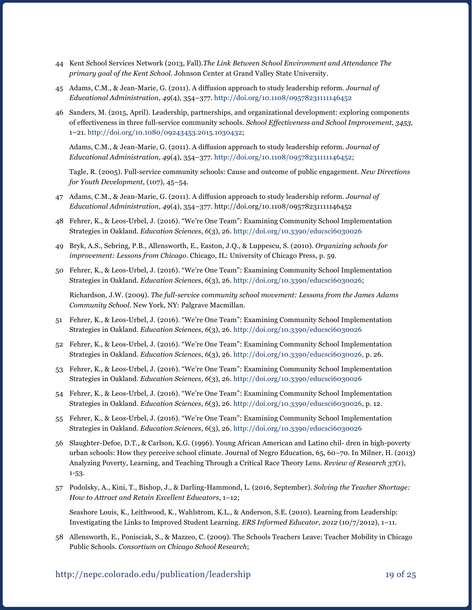- 44 Kent School Services Network (2013, Fall).*The Link Between School Environment and Attendance The primary goal of the Kent School*. Johnson Center at Grand Valley State University.
- 45 Adams, C.M., & Jean-Marie, G. (2011). A diffusion approach to study leadership reform. *Journal of Educational Administration*, *49*(4), 354–377.<http://doi.org/10.1108/09578231111146452>
- 46 Sanders, M. (2015, April). Leadership, partnerships, and organizational development: exploring components of effectiveness in three full-service community schools. *School Effectiveness and School Improvement*, *3453*, 1–21. <http://doi.org/10.1080/09243453.2015.1030432>;

Adams, C.M., & Jean-Marie, G. (2011). A diffusion approach to study leadership reform. *Journal of Educational Administration*, *49*(4), 354–377. [http://doi.org/10.1108/09578231111146452;](http://doi.org/10.1108/09578231111146452)

Tagle, R. (2005). Full-service community schools: Cause and outcome of public engagement. *New Directions for Youth Development*, (107), 45–54.

- 47 Adams, C.M., & Jean-Marie, G. (2011). A diffusion approach to study leadership reform. *Journal of Educational Administration*, *49*(4), 354–377. http://doi.org/10.1108/09578231111146452
- 48 Fehrer, K., & Leos-Urbel, J. (2016). "We're One Team": Examining Community School Implementation Strategies in Oakland. *Education Sciences*, *6*(3), 26. <http://doi.org/10.3390/educsci6030026>
- 49 Bryk, A.S., Sebring, P.B., Allensworth, E., Easton, J.Q., & Luppescu, S. (2010). *Organizing schools for improvement: Lessons from Chicago*. Chicago, IL: University of Chicago Press, p. 59.
- 50 Fehrer, K., & Leos-Urbel, J. (2016). "We're One Team": Examining Community School Implementation Strategies in Oakland. *Education Sciences*, *6*(3), 26. [http://doi.org/10.3390/educsci6030026;](http://doi.org/10.3390/educsci6030026)

Richardson, J.W. (2009). *The full-service community school movement: Lessons from the James Adams Community School*. New York, NY: Palgrave Macmillan.

- 51 Fehrer, K., & Leos-Urbel, J. (2016). "We're One Team": Examining Community School Implementation Strategies in Oakland. *Education Sciences*, *6*(3), 26. <http://doi.org/10.3390/educsci6030026>
- 52 Fehrer, K., & Leos-Urbel, J. (2016). "We're One Team": Examining Community School Implementation Strategies in Oakland. *Education Sciences*, *6*(3), 26. [http://doi.org/10.3390/educsci6030026,](http://doi.org/10.3390/educsci6030026) p. 26.
- 53 Fehrer, K., & Leos-Urbel, J. (2016). "We're One Team": Examining Community School Implementation Strategies in Oakland. *Education Sciences*, *6*(3), 26. <http://doi.org/10.3390/educsci6030026>
- 54 Fehrer, K., & Leos-Urbel, J. (2016). "We're One Team": Examining Community School Implementation Strategies in Oakland. *Education Sciences*, *6*(3), 26. [http://doi.org/10.3390/educsci6030026,](http://doi.org/10.3390/educsci6030026) p. 12.
- 55 Fehrer, K., & Leos-Urbel, J. (2016). "We're One Team": Examining Community School Implementation Strategies in Oakland. *Education Sciences*, *6*(3), 26. <http://doi.org/10.3390/educsci6030026>
- 56 Slaughter-Defoe, D.T., & Carlson, K.G. (1996). Young African American and Latino chil- dren in high-poverty urban schools: How they perceive school climate. Journal of Negro Education, 65, 60–70. In Milner, H. (2013) Analyzing Poverty, Learning, and Teaching Through a Critical Race Theory Lens. *Review of Research 37(1*), 1-53.
- 57 Podolsky, A., Kini, T., Bishop, J., & Darling-Hammond, L. (2016, September). *Solving the Teacher Shortage: How to Attract and Retain Excellent Educators*, 1–12;

Seashore Louis, K., Leithwood, K., Wahlstrom, K.L., & Anderson, S.E. (2010). Learning from Leadership: Investigating the Links to Improved Student Learning. *ERS Informed Educator*, *2012* (10/7/2012), 1–11.

58 Allensworth, E., Ponisciak, S., & Mazzeo, C. (2009). The Schools Teachers Leave: Teacher Mobility in Chicago Public Schools. *Consortium on Chicago School Research*;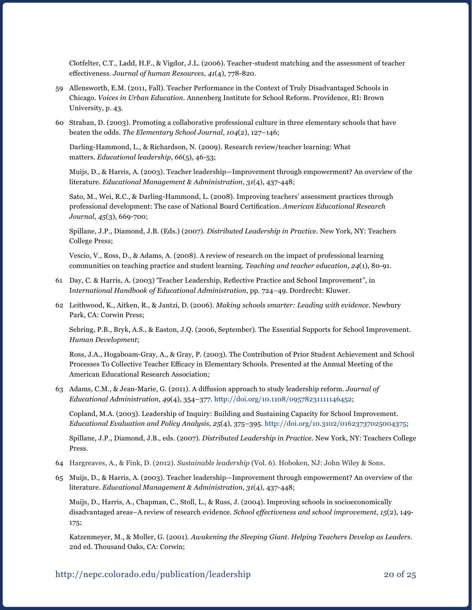Clotfelter, C.T., Ladd, H.F., & Vigdor, J.L. (2006). Teacher-student matching and the assessment of teacher effectiveness. *Journal of human Resources*, *41*(4), 778-820.

- 59 Allensworth, E.M. (2011, Fall). Teacher Performance in the Context of Truly Disadvantaged Schools in Chicago. *Voices in Urban Education*. Annenberg Institute for School Reform. Providence, RI: Brown University, p. 43.
- 60 Strahan, D. (2003). Promoting a collaborative professional culture in three elementary schools that have beaten the odds. *The Elementary School Journal*, *104*(2), 127–146;

Darling-Hammond, L., & Richardson, N. (2009). Research review/teacher learning: What matters. *Educational leadership*, *66*(5), 46-53;

Muijs, D., & Harris, A. (2003). Teacher leadership—Improvement through empowerment? An overview of the literature. *Educational Management & Administration*, *31*(4), 437-448;

Sato, M., Wei, R.C., & Darling-Hammond, L. (2008). Improving teachers' assessment practices through professional development: The case of National Board Certification. *American Educational Research Journal*, *45*(3), 669-700;

Spillane, J.P., Diamond, J.B. (Eds.) (2007). *Distributed Leadership in Practice.* New York, NY: Teachers College Press;

Vescio, V., Ross, D., & Adams, A. (2008). A review of research on the impact of professional learning communities on teaching practice and student learning. *Teaching and teacher education*, *24*(1), 80-91.

- 61 Day, C. & Harris, A. (2003) 'Teacher Leadership, Reflective Practice and School Improvement", in I*nternational Handbook of Educational Administration*, pp. 724–49. Dordrecht: Kluwer.
- 62 Leithwood, K., Aitken, R., & Jantzi, D. (2006). *Making schools smarter: Leading with evidence*. Newbury Park, CA: Corwin Press;

Sebring, P.B., Bryk, A.S., & Easton, J.Q. (2006, September). The Essential Supports for School Improvement. *Human Development*;

Ross, J.A., Hogaboam-Gray, A., & Gray, P. (2003). The Contribution of Prior Student Achievement and School Processes To Collective Teacher Efficacy in Elementary Schools. Presented at the Annual Meeting of the American Educational Research Association*;* 

63 Adams, C.M., & Jean-Marie, G. (2011). A diffusion approach to study leadership reform. *Journal of Educational Administration*, *49*(4), 354–377. [http://doi.org/10.1108/09578231111146452;](http://doi.org/10.1108/09578231111146452)

Copland, M.A. (2003). Leadership of Inquiry: Building and Sustaining Capacity for School Improvement. *Educational Evaluation and Policy Analysis*, *25*(4), 375–395. <http://doi.org/10.3102/01623737025004375>;

Spillane, J.P., Diamond, J.B., eds. (2007). *Distributed Leadership in Practice.* New York, NY: Teachers College Press.

- 64 Hargreaves, A., & Fink, D. (2012). *Sustainable leadership* (Vol. 6). Hoboken, NJ: John Wiley & Sons.
- 65 Muijs, D., & Harris, A. (2003). Teacher leadership—Improvement through empowerment? An overview of the literature. *Educational Management & Administration*, *31*(4), 437-448;

Muijs, D., Harris, A., Chapman, C., Stoll, L., & Russ, J. (2004). Improving schools in socioeconomically disadvantaged areas–A review of research evidence. *School effectiveness and school improvement*, *15*(2), 149- 175;

Katzenmeyer, M., & Moller, G. (2001). *Awakening the Sleeping Giant. Helping Teachers Develop as Leaders*. 2nd ed. Thousand Oaks, CA: Corwin;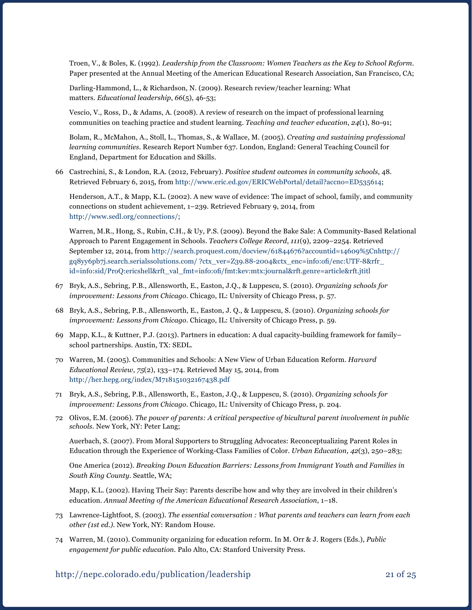Troen, V., & Boles, K. (1992). *Leadership from the Classroom: Women Teachers as the Key to School Reform*. Paper presented at the Annual Meeting of the American Educational Research Association, San Francisco, CA;

Darling-Hammond, L., & Richardson, N. (2009). Research review/teacher learning: What matters. *Educational leadership*, *66*(5), 46-53;

Vescio, V., Ross, D., & Adams, A. (2008). A review of research on the impact of professional learning communities on teaching practice and student learning. *Teaching and teacher education*, *24*(1), 80-91;

Bolam, R., McMahon, A., Stoll, L., Thomas, S., & Wallace, M. (2005). *Creating and sustaining professional learning communities*. Research Report Number 637. London, England: General Teaching Council for England, Department for Education and Skills.

66 Castrechini, S., & London, R.A. (2012, February). *Positive student outcomes in community schools*, 48. Retrieved February 6, 2015, from<http://www.eric.ed.gov/ERICWebPortal/detail?accno=ED535614>;

Henderson, A.T., & Mapp, K.L. (2002). A new wave of evidence: The impact of school, family, and community connections on student achievement, 1–239. Retrieved February 9, 2014, from <http://www.sedl.org/connections/>;

Warren, M.R., Hong, S., Rubin, C.H., & Uy, P.S. (2009). Beyond the Bake Sale: A Community-Based Relational Approach to Parent Engagement in Schools. *Teachers College Record*, *111*(9), 2209–2254. Retrieved September 12, 2014, from [http://search.proquest.com/docview/61844676?accountid=14609%5Cnhttp://](http://search.proquest.com/docview/61844676?accountid=14609%5Cnhttp://gq8yy6pb7j.search.serialssolutions.com/ ?ctx_ver=Z39.88-2004&ctx_enc=info:ofi/enc:UTF-8&rfr_id=info:sid/ProQ:ericshell&rft_val_fmt=info:ofi/fmt:kev:mtx:journal&rft.genre=article&rft.jti) [gq8yy6pb7j.search.serialssolutions.com/ ?ctx\\_ver=Z39.88-2004&ctx\\_enc=info:ofi/enc:UTF-8&rfr\\_](http://search.proquest.com/docview/61844676?accountid=14609%5Cnhttp://gq8yy6pb7j.search.serialssolutions.com/ ?ctx_ver=Z39.88-2004&ctx_enc=info:ofi/enc:UTF-8&rfr_id=info:sid/ProQ:ericshell&rft_val_fmt=info:ofi/fmt:kev:mtx:journal&rft.genre=article&rft.jti) [id=info:sid/ProQ:ericshell&rft\\_val\\_fmt=info:ofi/fmt:kev:mtx:journal&rft.genre=article&rft.jtitl](http://search.proquest.com/docview/61844676?accountid=14609%5Cnhttp://gq8yy6pb7j.search.serialssolutions.com/ ?ctx_ver=Z39.88-2004&ctx_enc=info:ofi/enc:UTF-8&rfr_id=info:sid/ProQ:ericshell&rft_val_fmt=info:ofi/fmt:kev:mtx:journal&rft.genre=article&rft.jti)

- 67 Bryk, A.S., Sebring, P.B., Allensworth, E., Easton, J.Q., & Luppescu, S. (2010). *Organizing schools for improvement: Lessons from Chicago*. Chicago, IL: University of Chicago Press, p. 57.
- 68 Bryk, A.S., Sebring, P.B., Allensworth, E., Easton, J. Q., & Luppescu, S. (2010). *Organizing schools for improvement: Lessons from Chicago*. Chicago, IL: University of Chicago Press, p. 59.
- 69 Mapp, K.L., & Kuttner, P.J. (2013). Partners in education: A dual capacity-building framework for family– school partnerships. Austin, TX: SEDL.
- 70 Warren, M. (2005). Communities and Schools: A New View of Urban Education Reform. *Harvard Educational Review*, *75*(2), 133–174. Retrieved May 15, 2014, from <http://her.hepg.org/index/M718151032167438.pdf>
- 71 Bryk, A.S., Sebring, P.B., Allensworth, E., Easton, J.Q., & Luppescu, S. (2010). *Organizing schools for improvement: Lessons from Chicago*. Chicago, IL: University of Chicago Press, p. 204.
- 72 Olivos, E.M. (2006). *The power of parents: A critical perspective of bicultural parent involvement in public schools.* New York, NY: Peter Lang;

Auerbach, S. (2007). From Moral Supporters to Struggling Advocates: Reconceptualizing Parent Roles in Education through the Experience of Working-Class Families of Color. *Urban Education*, *42*(3), 250–283;

One America (2012). *Breaking Down Education Barriers: Lessons from Immigrant Youth and Families in South King County*. Seattle, WA;

Mapp, K.L. (2002). Having Their Say: Parents describe how and why they are involved in their children's education. *Annual Meeting of the American Educational Research Association*, 1–18.

- 73 Lawrence-Lightfoot, S. (2003). *The essential conversation : What parents and teachers can learn from each other (1st ed.).* New York, NY: Random House.
- 74 Warren, M. (2010). Community organizing for education reform. In M. Orr & J. Rogers (Eds.), *Public engagement for public education.* Palo Alto, CA: Stanford University Press.

#### http://nepc.colorado.edu/publication/leadership 21 of 25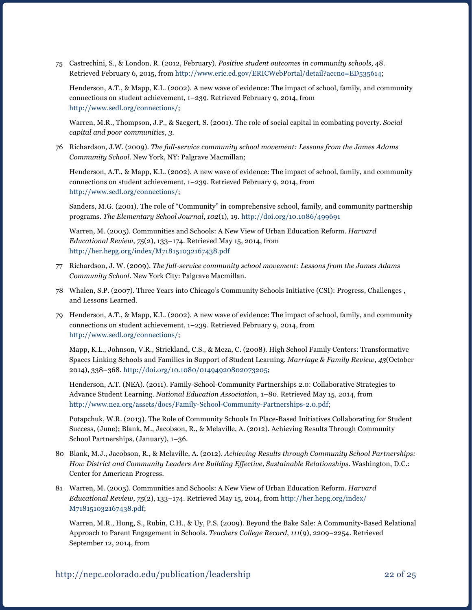75 Castrechini, S., & London, R. (2012, February). *Positive student outcomes in community schools*, 48. Retrieved February 6, 2015, from<http://www.eric.ed.gov/ERICWebPortal/detail?accno=ED535614>;

Henderson, A.T., & Mapp, K.L. (2002). A new wave of evidence: The impact of school, family, and community connections on student achievement, 1–239. Retrieved February 9, 2014, from <http://www.sedl.org/connections/>;

Warren, M.R., Thompson, J.P., & Saegert, S. (2001). The role of social capital in combating poverty. *Social capital and poor communities*, *3*.

76 Richardson, J.W. (2009). *The full-service community school movement: Lessons from the James Adams Community School*. New York, NY: Palgrave Macmillan;

Henderson, A.T., & Mapp, K.L. (2002). A new wave of evidence: The impact of school, family, and community connections on student achievement, 1–239. Retrieved February 9, 2014, from <http://www.sedl.org/connections/>;

Sanders, M.G. (2001). The role of "Community" in comprehensive school, family, and community partnership programs. *The Elementary School Journal*, *102*(1), 19.<http://doi.org/10.1086/499691>

Warren, M. (2005). Communities and Schools: A New View of Urban Education Reform. *Harvard Educational Review*, *75*(2), 133–174. Retrieved May 15, 2014, from <http://her.hepg.org/index/M718151032167438.pdf>

- 77 Richardson, J. W. (2009). *The full-service community school movement: Lessons from the James Adams Community School*. New York City: Palgrave Macmillan.
- 78 Whalen, S.P. (2007). Three Years into Chicago's Community Schools Initiative (CSI): Progress, Challenges , and Lessons Learned.
- 79 Henderson, A.T., & Mapp, K.L. (2002). A new wave of evidence: The impact of school, family, and community connections on student achievement, 1–239. Retrieved February 9, 2014, from <http://www.sedl.org/connections/>;

Mapp, K.L., Johnson, V.R., Strickland, C.S., & Meza, C. (2008). High School Family Centers: Transformative Spaces Linking Schools and Families in Support of Student Learning. *Marriage & Family Review*, *43*(October 2014), 338–368.<http://doi.org/10.1080/01494920802073205>;

Henderson, A.T. (NEA). (2011). Family-School-Community Partnerships 2.0: Collaborative Strategies to Advance Student Learning. *National Education Association*, 1–80. Retrieved May 15, 2014, from <http://www.nea.org/assets/docs/Family-School-Community-Partnerships-2.0.pdf>;

Potapchuk, W.R. (2013). The Role of Community Schools In Place-Based Initiatives Collaborating for Student Success, (June); Blank, M., Jacobson, R., & Melaville, A. (2012). Achieving Results Through Community School Partnerships, (January), 1–36.

- 80 Blank, M.J., Jacobson, R., & Melaville, A. (2012). *Achieving Results through Community School Partnerships: How District and Community Leaders Are Building Effective, Sustainable Relationships*. Washington, D.C.: Center for American Progress.
- 81 Warren, M. (2005). Communities and Schools: A New View of Urban Education Reform. *Harvard Educational Review*, *75*(2), 133–174. Retrieved May 15, 2014, from [http://her.hepg.org/index/](http://her.hepg.org/index/M718151032167438.pdf) [M718151032167438.pdf;](http://her.hepg.org/index/M718151032167438.pdf)

Warren, M.R., Hong, S., Rubin, C.H., & Uy, P.S. (2009). Beyond the Bake Sale: A Community-Based Relational Approach to Parent Engagement in Schools. *Teachers College Record*, *111*(9), 2209–2254. Retrieved September 12, 2014, from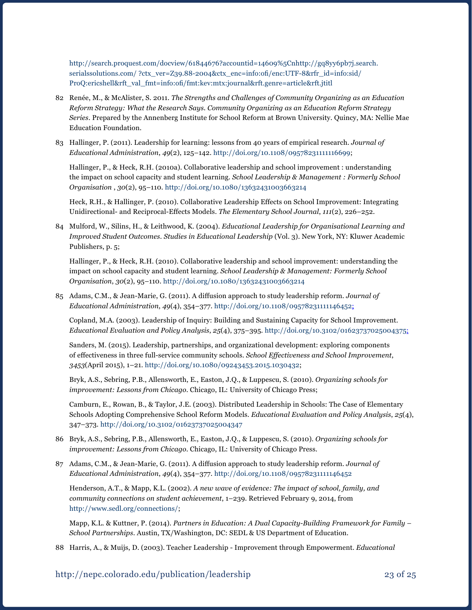[http://search.proquest.com/docview/61844676?accountid=14609%5Cnhttp://gq8yy6pb7j.search.](http://search.proquest.com/docview/61844676?accountid=14609%5Cnhttp://gq8yy6pb7j.search.serialssolutions.com/ ?ctx_ver=Z39.88-2004&ctx_enc=info:ofi/enc:UTF-8&rfr_id=info:sid/ProQ:ericshell&rft_val_fmt=info:ofi/fmt:kev:mtx:journal&rft.genre=article&rft.jti) [serialssolutions.com/ ?ctx\\_ver=Z39.88-2004&ctx\\_enc=info:ofi/enc:UTF-8&rfr\\_id=info:sid/](http://search.proquest.com/docview/61844676?accountid=14609%5Cnhttp://gq8yy6pb7j.search.serialssolutions.com/ ?ctx_ver=Z39.88-2004&ctx_enc=info:ofi/enc:UTF-8&rfr_id=info:sid/ProQ:ericshell&rft_val_fmt=info:ofi/fmt:kev:mtx:journal&rft.genre=article&rft.jti) [ProQ:ericshell&rft\\_val\\_fmt=info:ofi/fmt:kev:mtx:journal&rft.genre=article&rft.jtitl](http://search.proquest.com/docview/61844676?accountid=14609%5Cnhttp://gq8yy6pb7j.search.serialssolutions.com/ ?ctx_ver=Z39.88-2004&ctx_enc=info:ofi/enc:UTF-8&rfr_id=info:sid/ProQ:ericshell&rft_val_fmt=info:ofi/fmt:kev:mtx:journal&rft.genre=article&rft.jti)

- 82 Renée, M., & McAlister, S. 2011. *The Strengths and Challenges of Community Organizing as an Education Reform Strategy: What the Research Says. Community Organizing as an Education Reform Strategy Series.* Prepared by the Annenberg Institute for School Reform at Brown University. Quincy, MA: Nellie Mae Education Foundation.
- 83 Hallinger, P. (2011). Leadership for learning: lessons from 40 years of empirical research. *Journal of Educational Administration*, *49*(2), 125–142. [http://doi.org/10.1108/09578231111116699;](http://doi.org/10.1108/09578231111116699)

Hallinger, P., & Heck, R.H. (2010a). Collaborative leadership and school improvement : understanding the impact on school capacity and student learning. *School Leadership & Management : Formerly School Organisation* , *30*(2), 95–110.<http://doi.org/10.1080/13632431003663214>

Heck, R.H., & Hallinger, P. (2010). Collaborative Leadership Effects on School Improvement: Integrating Unidirectional- and Reciprocal-Effects Models. *The Elementary School Journal*, *111*(2), 226–252.

84 Mulford, W., Silins, H., & Leithwood, K. (2004). *Educational Leadership for Organisational Learning and Improved Student Outcomes*. *Studies in Educational Leadership* (Vol. 3). New York, NY: Kluwer Academic Publishers, p. 5;

Hallinger, P., & Heck, R.H. (2010). Collaborative leadership and school improvement: understanding the impact on school capacity and student learning. *School Leadership & Management: Formerly School Organisation*, *30*(2), 95–110. <http://doi.org/10.1080/13632431003663214>

85 Adams, C.M., & Jean-Marie, G. (2011). A diffusion approach to study leadership reform. *Journal of Educational Administration*, *49*(4), 354–377. [http://doi.org/10.1108/09578231111146452;](http://doi.org/10.1108/09578231111146452)

Copland, M.A. (2003). Leadership of Inquiry: Building and Sustaining Capacity for School Improvement. *Educational Evaluation and Policy Analysis*, *25*(4), 375–395. <http://doi.org/10.3102/01623737025004375>;

Sanders, M. (2015). Leadership, partnerships, and organizational development: exploring components of effectiveness in three full-service community schools. *School Effectiveness and School Improvement*, *3453*(April 2015), 1–21. http://doi.org/10.1080/09243453.2015.1030432;

Bryk, A.S., Sebring, P.B., Allensworth, E., Easton, J.Q., & Luppescu, S. (2010). *Organizing schools for improvement: Lessons from Chicago*. Chicago, IL: University of Chicago Press;

Camburn, E., Rowan, B., & Taylor, J.E. (2003). Distributed Leadership in Schools: The Case of Elementary Schools Adopting Comprehensive School Reform Models. *Educational Evaluation and Policy Analysis*, *25*(4), 347–373.<http://doi.org/10.3102/01623737025004347>

- 86 Bryk, A.S., Sebring, P.B., Allensworth, E., Easton, J.Q., & Luppescu, S. (2010). *Organizing schools for improvement: Lessons from Chicago*. Chicago, IL: University of Chicago Press.
- 87 Adams, C.M., & Jean-Marie, G. (2011). A diffusion approach to study leadership reform. *Journal of Educational Administration*, *49*(4), 354–377.<http://doi.org/10.1108/09578231111146452>

Henderson, A.T., & Mapp, K.L. (2002). *A new wave of evidence: The impact of school, family, and community connections on student achievement*, 1–239. Retrieved February 9, 2014, from <http://www.sedl.org/connections/>;

Mapp, K.L. & Kuttner, P. (2014). *Partners in Education: A Dual Capacity-Building Framework for Family – School Partnerships*. Austin, TX/Washington, DC: SEDL & US Department of Education.

88 Harris, A., & Muijs, D. (2003). Teacher Leadership - Improvement through Empowerment. *Educational*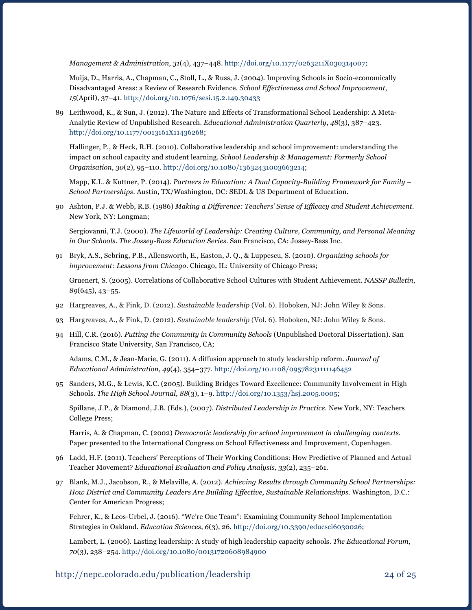*Management & Administration*, *31*(4), 437–448. [http://doi.org/10.1177/0263211X030314007;](http://doi.org/10.1177/0263211X030314007)

Muijs, D., Harris, A., Chapman, C., Stoll, L., & Russ, J. (2004). Improving Schools in Socio-economically Disadvantaged Areas: a Review of Research Evidence. *School Effectiveness and School Improvement*, *15*(April), 37–41. <http://doi.org/10.1076/sesi.15.2.149.30433>

89 Leithwood, K., & Sun, J. (2012). The Nature and Effects of Transformational School Leadership: A Meta-Analytic Review of Unpublished Research. *Educational Administration Quarterly*, *48*(3), 387–423. <http://doi.org/10.1177/0013161X11436268>;

Hallinger, P., & Heck, R.H. (2010). Collaborative leadership and school improvement: understanding the impact on school capacity and student learning. *School Leadership & Management: Formerly School Organisation*, *30*(2), 95–110. <http://doi.org/10.1080/13632431003663214>;

Mapp, K.L. & Kuttner, P. (2014). *Partners in Education: A Dual Capacity-Building Framework for Family – School Partnerships*. Austin, TX/Washington, DC: SEDL & US Department of Education.

90 Ashton, P.J. & Webb, R.B. (1986) *Making a Difference: Teachers' Sense of Efficacy and Student Achievement.* New York, NY: Longman;

Sergiovanni, T.J. (2000). *The Lifeworld of Leadership: Creating Culture, Community, and Personal Meaning in Our Schools. The Jossey-Bass Education Series*. San Francisco, CA: Jossey-Bass Inc.

91 Bryk, A.S., Sebring, P.B., Allensworth, E., Easton, J. Q., & Luppescu, S. (2010). *Organizing schools for improvement: Lessons from Chicago*. Chicago, IL: University of Chicago Press;

Gruenert, S. (2005). Correlations of Collaborative School Cultures with Student Achievement. *NASSP Bulletin*, *89*(645), 43–55.

- 92 Hargreaves, A., & Fink, D. (2012). *Sustainable leadership* (Vol. 6). Hoboken, NJ: John Wiley & Sons.
- 93 Hargreaves, A., & Fink, D. (2012). *Sustainable leadership* (Vol. 6). Hoboken, NJ: John Wiley & Sons.
- 94 Hill, C.R. (2016). *Putting the Community in Community Schools* (Unpublished Doctoral Dissertation). San Francisco State University, San Francisco, CA;

Adams, C.M., & Jean-Marie, G. (2011). A diffusion approach to study leadership reform. *Journal of Educational Administration*, *49*(4), 354–377. http://doi.org/10.1108/09578231111146452

95 Sanders, M.G., & Lewis, K.C. (2005). Building Bridges Toward Excellence: Community Involvement in High Schools. *The High School Journal*, *88*(3), 1–9. http://doi.org/10.1353/hsj.2005.0005;

Spillane, J.P., & Diamond, J.B. (Eds.), (2007). *Distributed Leadership in Practice.* New York, NY: Teachers College Press;

Harris, A. & Chapman, C. (2002) *Democratic leadership for school improvement in challenging contexts*. Paper presented to the International Congress on School Effectiveness and Improvement, Copenhagen.

- 96 Ladd, H.F. (2011). Teachers' Perceptions of Their Working Conditions: How Predictive of Planned and Actual Teacher Movement? *Educational Evaluation and Policy Analysis, 33*(2), 235–261.
- 97 Blank, M.J., Jacobson, R., & Melaville, A. (2012). *Achieving Results through Community School Partnerships: How District and Community Leaders Are Building Effective, Sustainable Relationships*. Washington, D.C.: Center for American Progress;

Fehrer, K., & Leos-Urbel, J. (2016). "We're One Team": Examining Community School Implementation Strategies in Oakland. *Education Sciences*, *6*(3), 26. [http://doi.org/10.3390/educsci6030026;](http://doi.org/10.3390/educsci6030026)

Lambert, L. (2006). Lasting leadership: A study of high leadership capacity schools. *The Educational Forum*, *70*(3), 238–254.<http://doi.org/10.1080/00131720608984900>

#### http://nepc.colorado.edu/publication/leadership 24 of 25